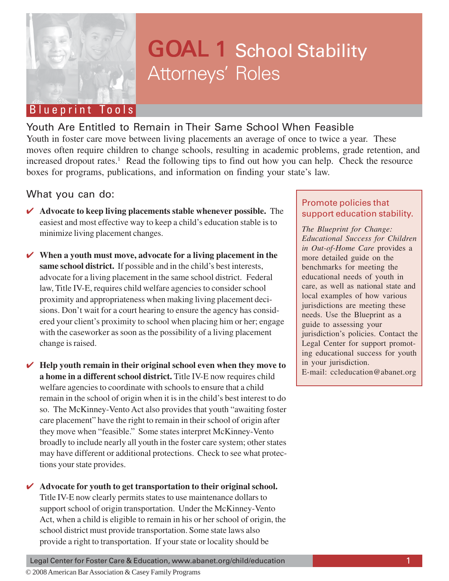

# GOAL 1 School Stability Attorneys' Roles

# Blueprint Tools

# Youth Are Entitled to Remain in Their Same School When Feasible

Youth in foster care move between living placements an average of once to twice a year. These moves often require children to change schools, resulting in academic problems, grade retention, and increased dropout rates.<sup>1</sup> Read the following tips to find out how you can help. Check the resource boxes for programs, publications, and information on finding your state's law.

## What you can do:

- ✔ **Advocate to keep living placements stable whenever possible.** The easiest and most effective way to keep a child's education stable is to minimize living placement changes.
- ✔ **When a youth must move, advocate for a living placement in the same school district.** If possible and in the child's best interests, advocate for a living placement in the same school district. Federal law, Title IV-E, requires child welfare agencies to consider school proximity and appropriateness when making living placement decisions. Don't wait for a court hearing to ensure the agency has considered your client's proximity to school when placing him or her; engage with the caseworker as soon as the possibility of a living placement change is raised.
- ✔ **Help youth remain in their original school even when they move to a home in a different school district.** Title IV-E now requires child welfare agencies to coordinate with schools to ensure that a child remain in the school of origin when it is in the child's best interest to do so.The McKinney-Vento Act also provides that youth "awaiting foster care placement" have the right to remain in their school of origin after they move when "feasible." Some states interpret McKinney-Vento broadly to include nearly all youth in the foster care system; other states may have different or additional protections. Check to see what protections your state provides.

### ✔ **Advocate for youth to get transportation to their original school.** Title IV-E now clearly permits states to use maintenance dollars to

support school of origin transportation.Under the McKinney-Vento Act, when a child is eligible to remain in his or her school of origin, the school district must provide transportation. Some state laws also provide a right to transportation. If your state or locality should be

# Promote policies that support education stability.

*The Blueprint for Change: Educational Success for Children in Out-of-Home Care* provides a more detailed guide on the benchmarks for meeting the educational needs of youth in care, as well as national state and local examples of how various jurisdictions are meeting these needs. Use the Blueprint as a guide to assessing your jurisdiction's policies. Contact the Legal Center for support promoting educational success for youth in your jurisdiction. E-mail: ccleducation@abanet.org

Legal Center for Foster Care & Education, www.abanet.org/child/education 1

© 2008 American Bar Association & Casey Family Programs